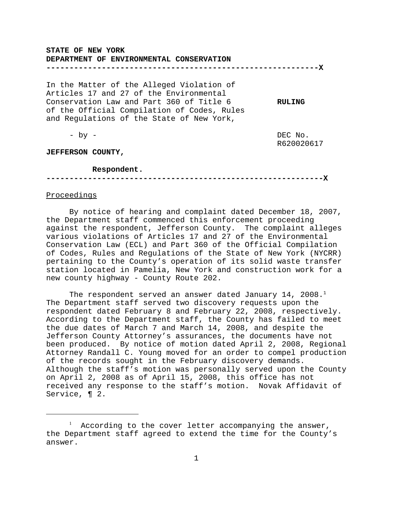### **STATE OF NEW YORK**

#### **DEPARTMENT OF ENVIRONMENTAL CONSERVATION**

**-----------------------------------------------------------X**

In the Matter of the Alleged Violation of Articles 17 and 27 of the Environmental Conservation Law and Part 360 of Title 6 **RULING** of the Official Compilation of Codes, Rules and Regulations of the State of New York,

- by - DEC No. R620020617

**JEFFERSON COUNTY,** 

#### **Respondent.**

**------------------------------------------------------------X**

## Proceedings

By notice of hearing and complaint dated December 18, 2007, the Department staff commenced this enforcement proceeding against the respondent, Jefferson County. The complaint alleges various violations of Articles 17 and 27 of the Environmental Conservation Law (ECL) and Part 360 of the Official Compilation of Codes, Rules and Regulations of the State of New York (NYCRR) pertaining to the County's operation of its solid waste transfer station located in Pamelia, New York and construction work for a new county highway - County Route 202.

The respondent served an answer dated January 14, 2008.<sup>1</sup> The Department staff served two discovery requests upon the respondent dated February 8 and February 22, 2008, respectively. According to the Department staff, the County has failed to meet the due dates of March 7 and March 14, 2008, and despite the Jefferson County Attorney's assurances, the documents have not been produced. By notice of motion dated April 2, 2008, Regional Attorney Randall C. Young moved for an order to compel production of the records sought in the February discovery demands. Although the staff's motion was personally served upon the County on April 2, 2008 as of April 15, 2008, this office has not received any response to the staff's motion. Novak Affidavit of Service, ¶ 2.

 $1$  According to the cover letter accompanying the answer, the Department staff agreed to extend the time for the County's answer.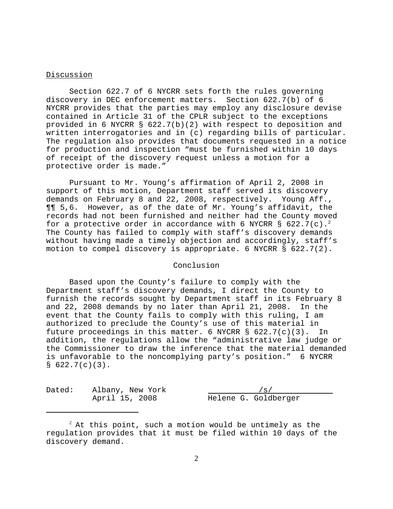# Discussion

Section 622.7 of 6 NYCRR sets forth the rules governing discovery in DEC enforcement matters. Section 622.7(b) of 6 NYCRR provides that the parties may employ any disclosure devise contained in Article 31 of the CPLR subject to the exceptions provided in 6 NYCRR § 622.7(b)(2) with respect to deposition and written interrogatories and in (c) regarding bills of particular. The regulation also provides that documents requested in a notice for production and inspection "must be furnished within 10 days of receipt of the discovery request unless a motion for a protective order is made."

Pursuant to Mr. Young's affirmation of April 2, 2008 in support of this motion, Department staff served its discovery demands on February 8 and 22, 2008, respectively. Young Aff., ¶¶ 5,6. However, as of the date of Mr. Young's affidavit, the records had not been furnished and neither had the County moved for a protective order in accordance with 6 NYCRR § 622.7(c).<sup>2</sup> The County has failed to comply with staff's discovery demands without having made a timely objection and accordingly, staff's motion to compel discovery is appropriate. 6 NYCRR § 622.7(2).

## Conclusion

Based upon the County's failure to comply with the Department staff's discovery demands, I direct the County to furnish the records sought by Department staff in its February 8 and 22, 2008 demands by no later than April 21, 2008. In the event that the County fails to comply with this ruling, I am authorized to preclude the County's use of this material in future proceedings in this matter. 6 NYCRR § 622.7(c)(3). In addition, the regulations allow the "administrative law judge or the Commissioner to draw the inference that the material demanded is unfavorable to the noncomplying party's position." 6 NYCRR  $$622.7(c)(3)$ .

Dated: Albany, New York /s/

April 15, 2008 Helene G. Goldberger

 $^2$  At this point, such a motion would be untimely as the regulation provides that it must be filed within 10 days of the discovery demand.